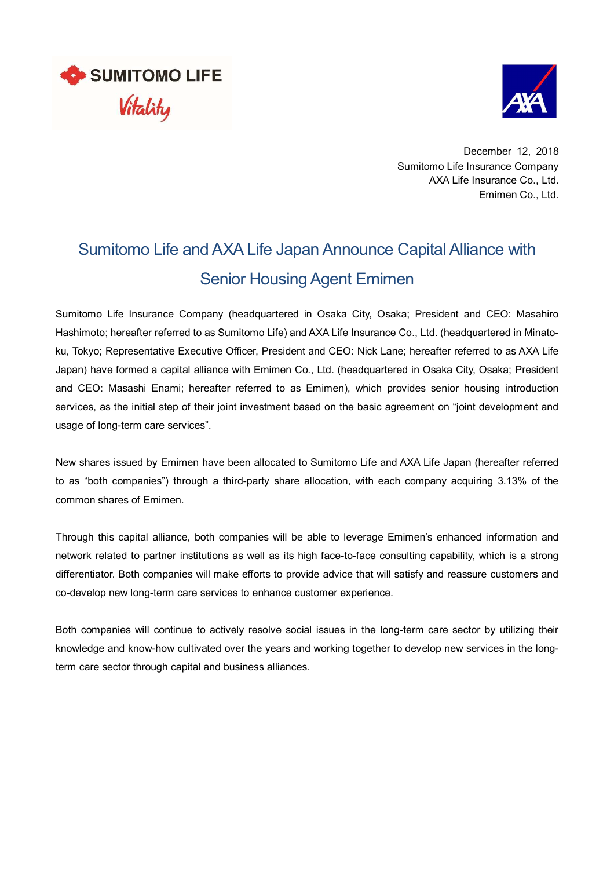



December 12, 2018 Sumitomo Life Insurance Company AXA Life Insurance Co., Ltd. Emimen Co., Ltd.

## Sumitomo Life and AXA Life Japan Announce Capital Alliance with Senior Housing Agent Emimen

Sumitomo Life Insurance Company (headquartered in Osaka City, Osaka; President and CEO: Masahiro Hashimoto; hereafter referred to as Sumitomo Life) and AXA Life Insurance Co., Ltd. (headquartered in Minatoku, Tokyo; Representative Executive Officer, President and CEO: Nick Lane; hereafter referred to as AXA Life Japan) have formed a capital alliance with Emimen Co., Ltd. (headquartered in Osaka City, Osaka; President and CEO: Masashi Enami; hereafter referred to as Emimen), which provides senior housing introduction services, as the initial step of their joint investment based on the basic agreement on "joint development and usage of long-term care services".

New shares issued by Emimen have been allocated to Sumitomo Life and AXA Life Japan (hereafter referred to as "both companies") through a third-party share allocation, with each company acquiring 3.13% of the common shares of Emimen.

Through this capital alliance, both companies will be able to leverage Emimen's enhanced information and network related to partner institutions as well as its high face-to-face consulting capability, which is a strong differentiator. Both companies will make efforts to provide advice that will satisfy and reassure customers and co-develop new long-term care services to enhance customer experience.

Both companies will continue to actively resolve social issues in the long-term care sector by utilizing their knowledge and know-how cultivated over the years and working together to develop new services in the longterm care sector through capital and business alliances.